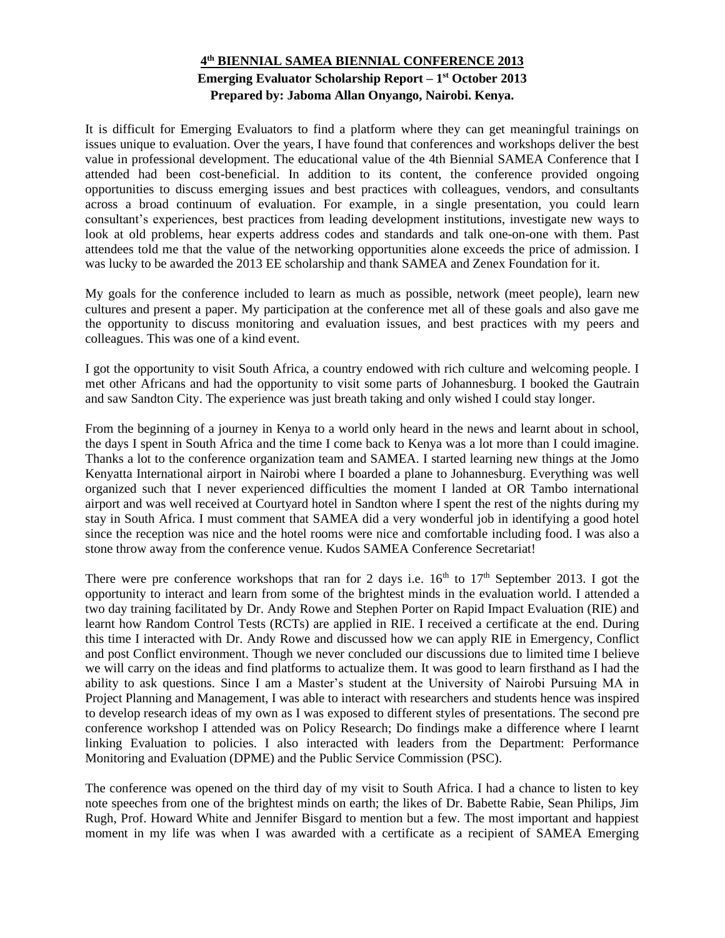## **4 th BIENNIAL SAMEA BIENNIAL CONFERENCE 2013 Emerging Evaluator Scholarship Report – 1 st October 2013 Prepared by: Jaboma Allan Onyango, Nairobi. Kenya.**

It is difficult for Emerging Evaluators to find a platform where they can get meaningful trainings on issues unique to evaluation. Over the years, I have found that conferences and workshops deliver the best value in professional development. The educational value of the 4th Biennial SAMEA Conference that I attended had been cost-beneficial. In addition to its content, the conference provided ongoing opportunities to discuss emerging issues and best practices with colleagues, vendors, and consultants across a broad continuum of evaluation. For example, in a single presentation, you could learn consultant's experiences, best practices from leading development institutions, investigate new ways to look at old problems, hear experts address codes and standards and talk one-on-one with them. Past attendees told me that the value of the networking opportunities alone exceeds the price of admission. I was lucky to be awarded the 2013 EE scholarship and thank SAMEA and Zenex Foundation for it.

My goals for the conference included to learn as much as possible, network (meet people), learn new cultures and present a paper. My participation at the conference met all of these goals and also gave me the opportunity to discuss monitoring and evaluation issues, and best practices with my peers and colleagues. This was one of a kind event.

I got the opportunity to visit South Africa, a country endowed with rich culture and welcoming people. I met other Africans and had the opportunity to visit some parts of Johannesburg. I booked the Gautrain and saw Sandton City. The experience was just breath taking and only wished I could stay longer.

From the beginning of a journey in Kenya to a world only heard in the news and learnt about in school, the days I spent in South Africa and the time I come back to Kenya was a lot more than I could imagine. Thanks a lot to the conference organization team and SAMEA. I started learning new things at the Jomo Kenyatta International airport in Nairobi where I boarded a plane to Johannesburg. Everything was well organized such that I never experienced difficulties the moment I landed at OR Tambo international airport and was well received at Courtyard hotel in Sandton where I spent the rest of the nights during my stay in South Africa. I must comment that SAMEA did a very wonderful job in identifying a good hotel since the reception was nice and the hotel rooms were nice and comfortable including food. I was also a stone throw away from the conference venue. Kudos SAMEA Conference Secretariat!

There were pre conference workshops that ran for 2 days i.e.  $16<sup>th</sup>$  to  $17<sup>th</sup>$  September 2013. I got the opportunity to interact and learn from some of the brightest minds in the evaluation world. I attended a two day training facilitated by Dr. Andy Rowe and Stephen Porter on Rapid Impact Evaluation (RIE) and learnt how Random Control Tests (RCTs) are applied in RIE. I received a certificate at the end. During this time I interacted with Dr. Andy Rowe and discussed how we can apply RIE in Emergency, Conflict and post Conflict environment. Though we never concluded our discussions due to limited time I believe we will carry on the ideas and find platforms to actualize them. It was good to learn firsthand as I had the ability to ask questions. Since I am a Master's student at the University of Nairobi Pursuing MA in Project Planning and Management, I was able to interact with researchers and students hence was inspired to develop research ideas of my own as I was exposed to different styles of presentations. The second pre conference workshop I attended was on Policy Research; Do findings make a difference where I learnt linking Evaluation to policies. I also interacted with leaders from the Department: Performance Monitoring and Evaluation (DPME) and the Public Service Commission (PSC).

The conference was opened on the third day of my visit to South Africa. I had a chance to listen to key note speeches from one of the brightest minds on earth; the likes of Dr. Babette Rabie, Sean Philips, Jim Rugh, Prof. Howard White and Jennifer Bisgard to mention but a few. The most important and happiest moment in my life was when I was awarded with a certificate as a recipient of SAMEA Emerging